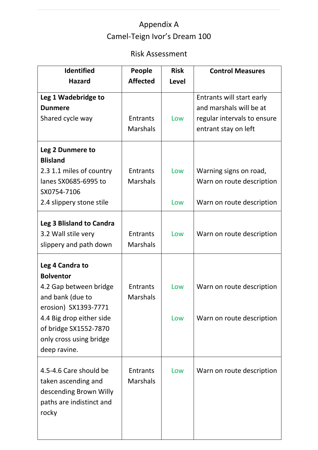## Appendix A Camel-Teign Ivor's Dream 100

## Risk Assessment

| <b>Identified</b>                                                                                                    | People                             | <b>Risk</b>  | <b>Control Measures</b>                              |
|----------------------------------------------------------------------------------------------------------------------|------------------------------------|--------------|------------------------------------------------------|
| <b>Hazard</b>                                                                                                        | <b>Affected</b>                    | <b>Level</b> |                                                      |
| Leg 1 Wadebridge to<br><b>Dunmere</b>                                                                                |                                    |              | Entrants will start early<br>and marshals will be at |
| Shared cycle way                                                                                                     | <b>Entrants</b>                    | Low          | regular intervals to ensure                          |
|                                                                                                                      | <b>Marshals</b>                    |              | entrant stay on left                                 |
| Leg 2 Dunmere to<br><b>Blisland</b>                                                                                  |                                    |              |                                                      |
| 2.3 1.1 miles of country                                                                                             | <b>Entrants</b>                    | Low          | Warning signs on road,                               |
| lanes SX0685-6995 to<br>SX0754-7106                                                                                  | <b>Marshals</b>                    |              | Warn on route description                            |
| 2.4 slippery stone stile                                                                                             |                                    | Low          | Warn on route description                            |
| Leg 3 Blisland to Candra<br>3.2 Wall stile very<br>slippery and path down                                            | <b>Entrants</b><br><b>Marshals</b> | Low          | Warn on route description                            |
| Leg 4 Candra to<br><b>Bolventor</b>                                                                                  |                                    |              |                                                      |
| 4.2 Gap between bridge<br>and bank (due to                                                                           | <b>Entrants</b><br><b>Marshals</b> | Low          | Warn on route description                            |
| erosion) SX1393-7771<br>4.4 Big drop either side<br>of bridge SX1552-7870<br>only cross using bridge<br>deep ravine. |                                    | Low          | Warn on route description                            |
| 4.5-4.6 Care should be<br>taken ascending and<br>descending Brown Willy<br>paths are indistinct and<br>rocky         | <b>Entrants</b><br><b>Marshals</b> | Low          | Warn on route description                            |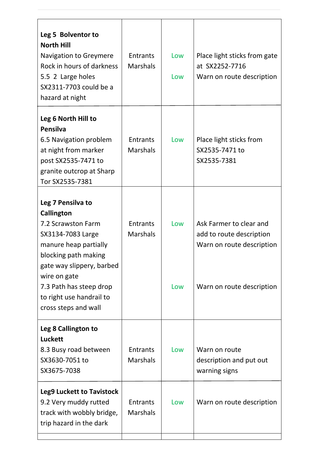| Leg 5 Bolventor to<br><b>North Hill</b><br><b>Navigation to Greymere</b><br>Rock in hours of darkness<br>5.5 2 Large holes<br>SX2311-7703 could be a<br>hazard at night                                                                                        | <b>Entrants</b><br><b>Marshals</b> | Low<br>Low | Place light sticks from gate<br>at SX2252-7716<br>Warn on route description                                   |
|----------------------------------------------------------------------------------------------------------------------------------------------------------------------------------------------------------------------------------------------------------------|------------------------------------|------------|---------------------------------------------------------------------------------------------------------------|
| Leg 6 North Hill to<br><b>Pensilva</b><br>6.5 Navigation problem<br>at night from marker<br>post SX2535-7471 to<br>granite outcrop at Sharp<br>Tor SX2535-7381                                                                                                 | <b>Entrants</b><br><b>Marshals</b> | Low        | Place light sticks from<br>SX2535-7471 to<br>SX2535-7381                                                      |
| Leg 7 Pensilva to<br><b>Callington</b><br>7.2 Scrawston Farm<br>SX3134-7083 Large<br>manure heap partially<br>blocking path making<br>gate way slippery, barbed<br>wire on gate<br>7.3 Path has steep drop<br>to right use handrail to<br>cross steps and wall | <b>Entrants</b><br><b>Marshals</b> | Low<br>Low | Ask Farmer to clear and<br>add to route description<br>Warn on route description<br>Warn on route description |
| Leg 8 Callington to<br><b>Luckett</b><br>8.3 Busy road between<br>SX3630-7051 to<br>SX3675-7038                                                                                                                                                                | <b>Entrants</b><br><b>Marshals</b> | Low        | Warn on route<br>description and put out<br>warning signs                                                     |
| <b>Leg9 Luckett to Tavistock</b><br>9.2 Very muddy rutted<br>track with wobbly bridge,<br>trip hazard in the dark                                                                                                                                              | Entrants<br><b>Marshals</b>        | Low        | Warn on route description                                                                                     |
|                                                                                                                                                                                                                                                                |                                    |            |                                                                                                               |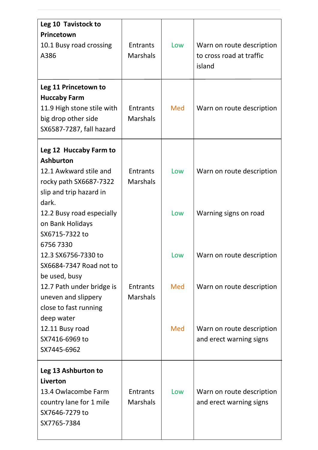| Leg 10 Tavistock to<br>Princetown                 |                                    |     |                                                       |
|---------------------------------------------------|------------------------------------|-----|-------------------------------------------------------|
| 10.1 Busy road crossing<br>A386                   | <b>Entrants</b><br><b>Marshals</b> | Low | Warn on route description<br>to cross road at traffic |
|                                                   |                                    |     | island                                                |
| Leg 11 Princetown to<br><b>Huccaby Farm</b>       |                                    |     |                                                       |
| 11.9 High stone stile with                        | <b>Entrants</b>                    | Med | Warn on route description                             |
| big drop other side                               | <b>Marshals</b>                    |     |                                                       |
| SX6587-7287, fall hazard                          |                                    |     |                                                       |
| Leg 12 Huccaby Farm to                            |                                    |     |                                                       |
| <b>Ashburton</b>                                  |                                    |     |                                                       |
| 12.1 Awkward stile and                            | <b>Entrants</b>                    | Low | Warn on route description                             |
| rocky path SX6687-7322<br>slip and trip hazard in | <b>Marshals</b>                    |     |                                                       |
| dark.                                             |                                    |     |                                                       |
| 12.2 Busy road especially                         |                                    | Low | Warning signs on road                                 |
| on Bank Holidays                                  |                                    |     |                                                       |
| SX6715-7322 to                                    |                                    |     |                                                       |
| 67567330                                          |                                    |     |                                                       |
| 12.3 SX6756-7330 to                               |                                    | Low | Warn on route description                             |
| SX6684-7347 Road not to<br>be used, busy          |                                    |     |                                                       |
| 12.7 Path under bridge is                         | <b>Entrants</b>                    | Med | Warn on route description                             |
| uneven and slippery                               | <b>Marshals</b>                    |     |                                                       |
| close to fast running                             |                                    |     |                                                       |
| deep water                                        |                                    |     |                                                       |
| 12.11 Busy road                                   |                                    | Med | Warn on route description                             |
| SX7416-6969 to                                    |                                    |     | and erect warning signs                               |
| SX7445-6962                                       |                                    |     |                                                       |
| Leg 13 Ashburton to                               |                                    |     |                                                       |
| Liverton                                          |                                    |     |                                                       |
| 13.4 Owlacombe Farm                               | <b>Entrants</b>                    | Low | Warn on route description                             |
| country lane for 1 mile                           | <b>Marshals</b>                    |     | and erect warning signs                               |
| SX7646-7279 to                                    |                                    |     |                                                       |
| SX7765-7384                                       |                                    |     |                                                       |
|                                                   |                                    |     |                                                       |